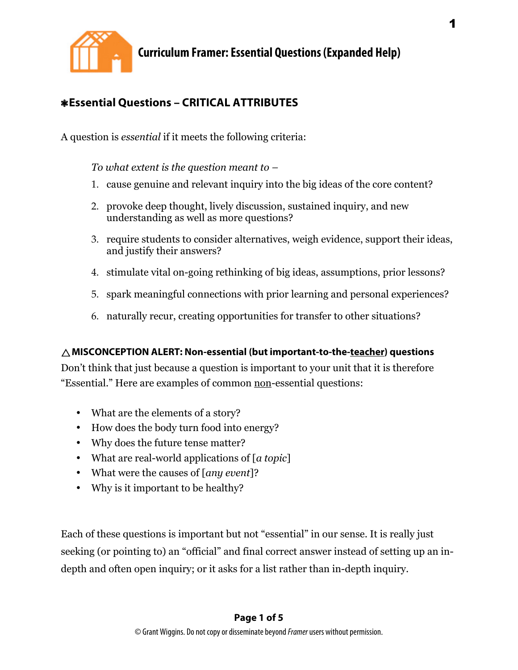

## ❃**Essential Questions – CRITICAL ATTRIBUTES**

A question is *essential* if it meets the following criteria:

*To what extent is the question meant to –*

- 1. cause genuine and relevant inquiry into the big ideas of the core content?
- 2. provoke deep thought, lively discussion, sustained inquiry, and new understanding as well as more questions?
- 3. require students to consider alternatives, weigh evidence, support their ideas, and justify their answers?
- 4. stimulate vital on-going rethinking of big ideas, assumptions, prior lessons?
- 5. spark meaningful connections with prior learning and personal experiences?
- 6. naturally recur, creating opportunities for transfer to other situations?

### **MISCONCEPTION ALERT: Non-essential (but important-to-the-teacher) questions**

Don't think that just because a question is important to your unit that it is therefore "Essential." Here are examples of common non-essential questions:

- What are the elements of a story?
- How does the body turn food into energy?
- Why does the future tense matter?
- What are real-world applications of [*a topic*]
- What were the causes of [*any event*]?
- Why is it important to be healthy?

Each of these questions is important but not "essential" in our sense. It is really just seeking (or pointing to) an "official" and final correct answer instead of setting up an indepth and often open inquiry; or it asks for a list rather than in-depth inquiry.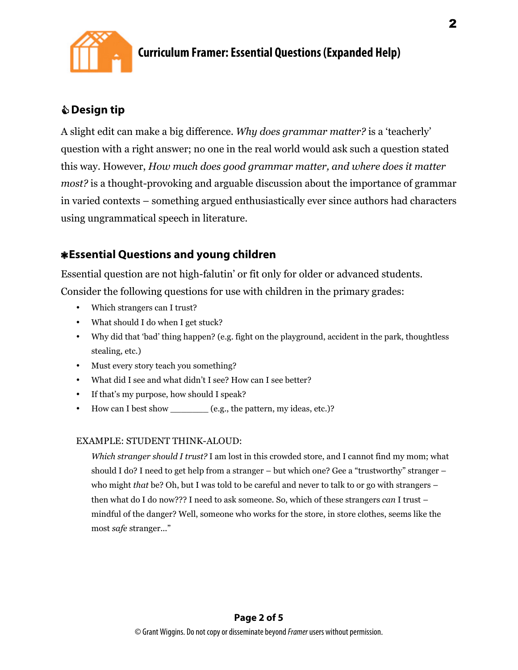

## **Design tip**

A slight edit can make a big difference. *Why does grammar matter?* is a 'teacherly' question with a right answer; no one in the real world would ask such a question stated this way. However, *How much does good grammar matter, and where does it matter most?* is a thought-provoking and arguable discussion about the importance of grammar in varied contexts – something argued enthusiastically ever since authors had characters using ungrammatical speech in literature.

## ❃**Essential Questions and young children**

Essential question are not high-falutin' or fit only for older or advanced students. Consider the following questions for use with children in the primary grades:

- Which strangers can I trust?
- What should I do when I get stuck?
- Why did that 'bad' thing happen? (e.g. fight on the playground, accident in the park, thoughtless stealing, etc.)
- Must every story teach you something?
- What did I see and what didn't I see? How can I see better?
- If that's my purpose, how should I speak?
- How can I best show \_\_\_\_\_\_\_ (e.g., the pattern, my ideas, etc.)?

### EXAMPLE: STUDENT THINK-ALOUD:

*Which stranger should I trust?* I am lost in this crowded store, and I cannot find my mom; what should I do? I need to get help from a stranger – but which one? Gee a "trustworthy" stranger – who might *that* be? Oh, but I was told to be careful and never to talk to or go with strangers – then what do I do now??? I need to ask someone. So, which of these strangers *can* I trust – mindful of the danger? Well, someone who works for the store, in store clothes, seems like the most *safe* stranger..."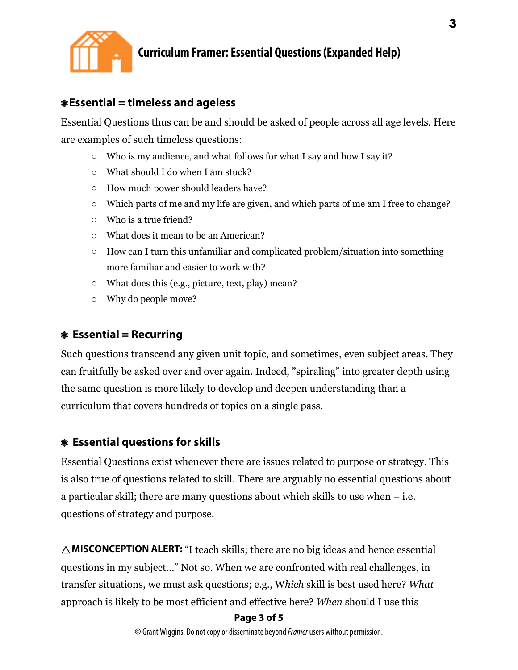

## ❃**Essential = timeless and ageless**

Essential Questions thus can be and should be asked of people across all age levels. Here are examples of such timeless questions:

- o Who is my audience, and what follows for what I say and how I say it?
- o What should I do when I am stuck?
- o How much power should leaders have?
- o Which parts of me and my life are given, and which parts of me am I free to change?
- o Who is a true friend?
- o What does it mean to be an American?
- $\circ$  How can I turn this unfamiliar and complicated problem/situation into something more familiar and easier to work with?
- o What does this (e.g., picture, text, play) mean?
- o Why do people move?

## ❃ **Essential = Recurring**

Such questions transcend any given unit topic, and sometimes, even subject areas. They can fruitfully be asked over and over again. Indeed, "spiraling" into greater depth using the same question is more likely to develop and deepen understanding than a curriculum that covers hundreds of topics on a single pass.

## ❃ **Essential questions for skills**

Essential Questions exist whenever there are issues related to purpose or strategy. This is also true of questions related to skill. There are arguably no essential questions about a particular skill; there are many questions about which skills to use when – i.e. questions of strategy and purpose.

**MISCONCEPTION ALERT:** "I teach skills; there are no big ideas and hence essential questions in my subject..." Not so. When we are confronted with real challenges, in transfer situations, we must ask questions; e.g., W*hich* skill is best used here? *What* approach is likely to be most efficient and effective here? *When* should I use this

### **Page 3 of 5**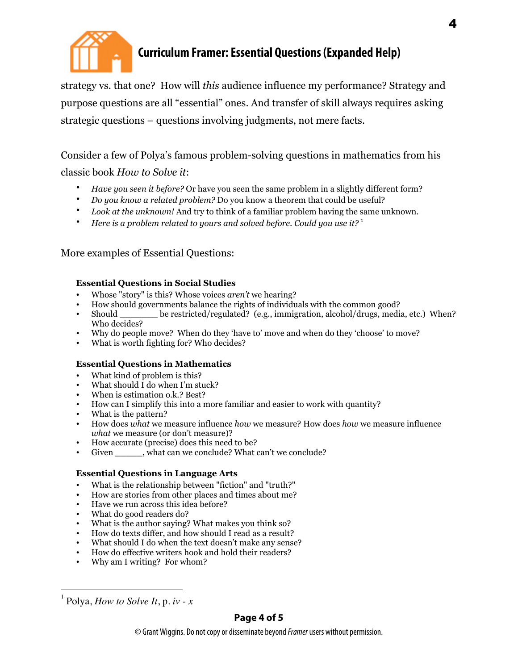

strategy vs. that one? How will *this* audience influence my performance? Strategy and purpose questions are all "essential" ones. And transfer of skill always requires asking strategic questions – questions involving judgments, not mere facts.

Consider a few of Polya's famous problem-solving questions in mathematics from his classic book *How to Solve it*:

- *Have you seen it before?* Or have you seen the same problem in a slightly different form?
- *Do you know a related problem?* Do you know a theorem that could be useful?
- *Look at the unknown!* And try to think of a familiar problem having the same unknown.
- *Here is a problem related to yours and solved before. Could you use it?* <sup>1</sup>

More examples of Essential Questions:

#### **Essential Questions in Social Studies**

- Whose "story" is this? Whose voices *aren't* we hearing?
- How should governments balance the rights of individuals with the common good?
- be restricted/regulated? (e.g., immigration, alcohol/drugs, media, etc.) When? Who decides?
- Why do people move? When do they 'have to' move and when do they 'choose' to move?
- What is worth fighting for? Who decides?

#### **Essential Questions in Mathematics**

- What kind of problem is this?
- What should I do when I'm stuck?
- When is estimation o.k.? Best?
- How can I simplify this into a more familiar and easier to work with quantity?
- What is the pattern?
- How does *what* we measure influence *how* we measure? How does *how* we measure influence *what* we measure (or don't measure)?
- How accurate (precise) does this need to be?
- Given , what can we conclude? What can't we conclude?

#### **Essential Questions in Language Arts**

- What is the relationship between "fiction" and "truth?"
- How are stories from other places and times about me?
- Have we run across this idea before?
- What do good readers do?
- What is the author saying? What makes you think so?
- How do texts differ, and how should I read as a result?
- What should I do when the text doesn't make any sense?
- How do effective writers hook and hold their readers?
- Why am I writing? For whom?

 $\frac{1}{1}$ Polya, *How to Solve It*, p. *iv - x*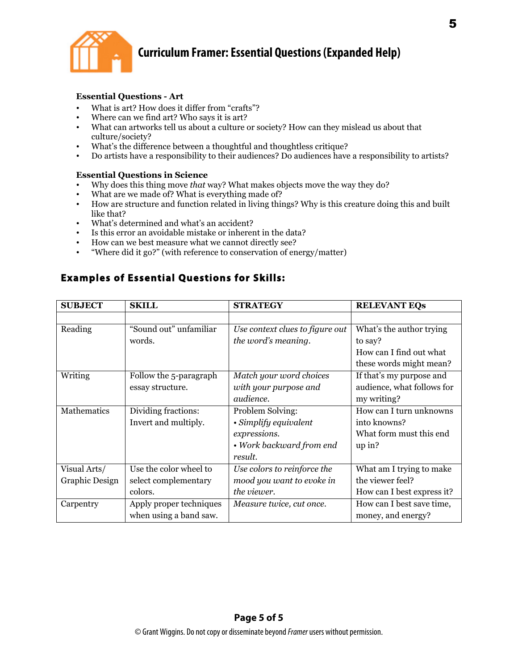

#### **Essential Questions - Art**

- What is art? How does it differ from "crafts"?
- Where can we find art? Who says it is art?
- What can artworks tell us about a culture or society? How can they mislead us about that culture/society?
- What's the difference between a thoughtful and thoughtless critique?
- Do artists have a responsibility to their audiences? Do audiences have a responsibility to artists?

#### **Essential Questions in Science**

- Why does this thing move *that* way? What makes objects move the way they do?
- What are we made of? What is everything made of?<br>• How are structure and function related in living thin
- How are structure and function related in living things? Why is this creature doing this and built like that?
- What's determined and what's an accident?
- Is this error an avoidable mistake or inherent in the data?
- How can we best measure what we cannot directly see?
- "Where did it go?" (with reference to conservation of energy/matter)

## **Examples of Essential Questions for Skills:**

| <b>SUBJECT</b>     | <b>SKILL</b>            | <b>STRATEGY</b>                 | <b>RELEVANT EQS</b>        |
|--------------------|-------------------------|---------------------------------|----------------------------|
|                    |                         |                                 |                            |
| Reading            | "Sound out" unfamiliar  | Use context clues to figure out | What's the author trying   |
|                    | words.                  | the word's meaning.             | to say?                    |
|                    |                         |                                 | How can I find out what    |
|                    |                         |                                 | these words might mean?    |
| Writing            | Follow the 5-paragraph  | Match your word choices         | If that's my purpose and   |
|                    | essay structure.        | with your purpose and           | audience, what follows for |
|                    |                         | <i>audience.</i>                | my writing?                |
| <b>Mathematics</b> | Dividing fractions:     | Problem Solving:                | How can I turn unknowns    |
|                    | Invert and multiply.    | • Simplify equivalent           | into knowns?               |
|                    |                         | expressions.                    | What form must this end    |
|                    |                         | • Work backward from end        | up in?                     |
|                    |                         | result.                         |                            |
| Visual Arts/       | Use the color wheel to  | Use colors to reinforce the     | What am I trying to make   |
| Graphic Design     | select complementary    | mood you want to evoke in       | the viewer feel?           |
|                    | colors.                 | the viewer.                     | How can I best express it? |
| Carpentry          | Apply proper techniques | Measure twice, cut once.        | How can I best save time,  |
|                    | when using a band saw.  |                                 | money, and energy?         |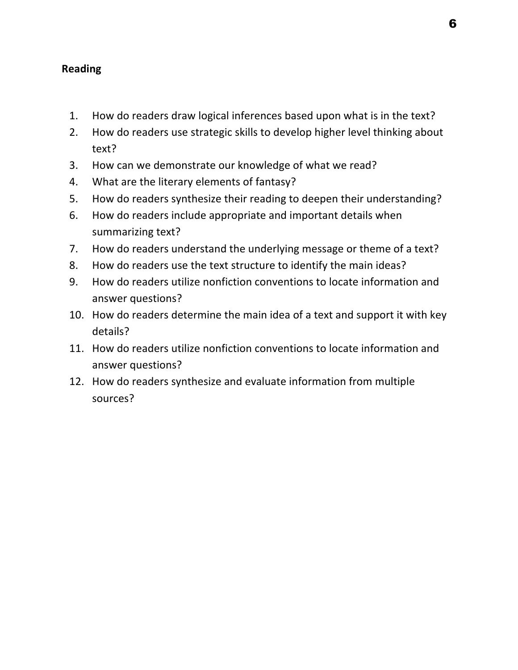## **Reading**

- 1. How do readers draw logical inferences based upon what is in the text?
- 2. How do readers use strategic skills to develop higher level thinking about text?
- 3. How can we demonstrate our knowledge of what we read?
- 4. What are the literary elements of fantasy?
- 5. How do readers synthesize their reading to deepen their understanding?
- 6. How do readers include appropriate and important details when summarizing text?
- 7. How do readers understand the underlying message or theme of a text?
- 8. How do readers use the text structure to identify the main ideas?
- 9. How do readers utilize nonfiction conventions to locate information and answer questions?
- 10. How do readers determine the main idea of a text and support it with key details?
- 11. How do readers utilize nonfiction conventions to locate information and answer questions?
- 12. How do readers synthesize and evaluate information from multiple sources?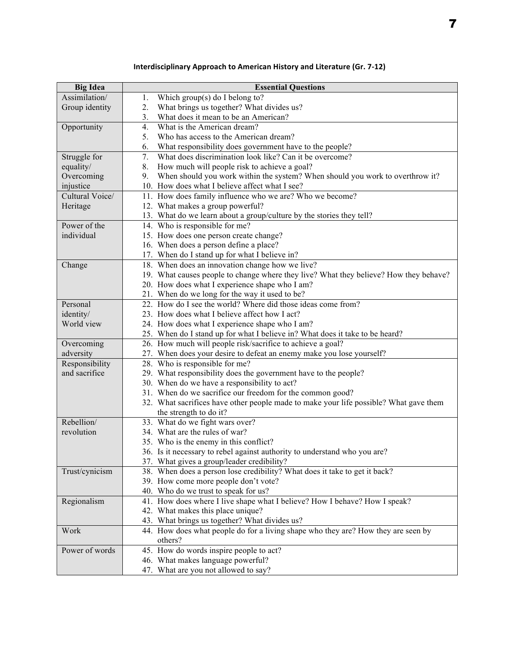| <b>Big Idea</b> | <b>Essential Questions</b>                                                            |  |
|-----------------|---------------------------------------------------------------------------------------|--|
| Assimilation/   | Which $group(s)$ do I belong to?<br>1.                                                |  |
| Group identity  | What brings us together? What divides us?                                             |  |
|                 | What does it mean to be an American?<br>3.                                            |  |
| Opportunity     | What is the American dream?<br>4.                                                     |  |
|                 | Who has access to the American dream?<br>5.                                           |  |
|                 | 6.<br>What responsibility does government have to the people?                         |  |
| Struggle for    | What does discrimination look like? Can it be overcome?<br>7.                         |  |
| equality/       | 8.<br>How much will people risk to achieve a goal?                                    |  |
| Overcoming      | When should you work within the system? When should you work to overthrow it?<br>9.   |  |
| injustice       | 10. How does what I believe affect what I see?                                        |  |
| Cultural Voice/ | 11. How does family influence who we are? Who we become?                              |  |
| Heritage        | 12. What makes a group powerful?                                                      |  |
|                 | 13. What do we learn about a group/culture by the stories they tell?                  |  |
| Power of the    | 14. Who is responsible for me?                                                        |  |
| individual      | 15. How does one person create change?                                                |  |
|                 | 16. When does a person define a place?                                                |  |
|                 | 17. When do I stand up for what I believe in?                                         |  |
| Change          | 18. When does an innovation change how we live?                                       |  |
|                 | 19. What causes people to change where they live? What they believe? How they behave? |  |
|                 | 20. How does what I experience shape who I am?                                        |  |
|                 | 21. When do we long for the way it used to be?                                        |  |
| Personal        | 22. How do I see the world? Where did those ideas come from?                          |  |
| identity/       | 23. How does what I believe affect how I act?                                         |  |
| World view      | 24. How does what I experience shape who I am?                                        |  |
|                 | 25. When do I stand up for what I believe in? What does it take to be heard?          |  |
| Overcoming      | 26. How much will people risk/sacrifice to achieve a goal?                            |  |
| adversity       | 27. When does your desire to defeat an enemy make you lose yourself?                  |  |
| Responsibility  | 28. Who is responsible for me?                                                        |  |
| and sacrifice   | 29. What responsibility does the government have to the people?                       |  |
|                 | 30. When do we have a responsibility to act?                                          |  |
|                 | 31. When do we sacrifice our freedom for the common good?                             |  |
|                 | 32. What sacrifices have other people made to make your life possible? What gave them |  |
|                 | the strength to do it?                                                                |  |
| Rebellion/      | 33. What do we fight wars over?                                                       |  |
| revolution      | 34. What are the rules of war?                                                        |  |
|                 | 35. Who is the enemy in this conflict?                                                |  |
|                 | 36. Is it necessary to rebel against authority to understand who you are?             |  |
|                 | 37. What gives a group/leader credibility?                                            |  |
| Trust/cynicism  | 38. When does a person lose credibility? What does it take to get it back?            |  |
|                 | 39. How come more people don't vote?                                                  |  |
|                 | 40. Who do we trust to speak for us?                                                  |  |
| Regionalism     | 41. How does where I live shape what I believe? How I behave? How I speak?            |  |
|                 | 42. What makes this place unique?<br>43. What brings us together? What divides us?    |  |
| Work            | 44. How does what people do for a living shape who they are? How they are seen by     |  |
|                 | others?                                                                               |  |
| Power of words  | 45. How do words inspire people to act?                                               |  |
|                 | 46. What makes language powerful?                                                     |  |
|                 | 47. What are you not allowed to say?                                                  |  |
|                 |                                                                                       |  |

### **Interdisciplinary Approach to American History and Literature (Gr. 7-12)**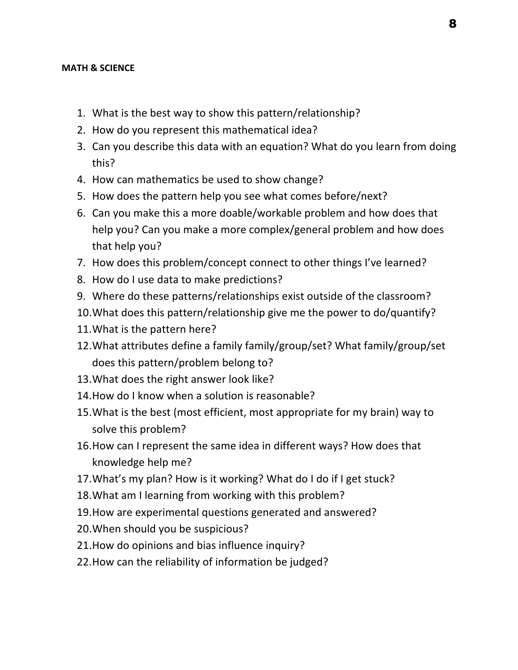### **MATH & SCIENCE**

- 1. What is the best way to show this pattern/relationship?
- 2. How do you represent this mathematical idea?
- 3. Can you describe this data with an equation? What do you learn from doing this?
- 4. How can mathematics be used to show change?
- 5. How does the pattern help you see what comes before/next?
- 6. Can you make this a more doable/workable problem and how does that help you? Can you make a more complex/general problem and how does that help you?
- 7. How does this problem/concept connect to other things I've learned?
- 8. How do I use data to make predictions?
- 9. Where do these patterns/relationships exist outside of the classroom?
- 10. What does this pattern/relationship give me the power to do/quantify?
- 11. What is the pattern here?
- 12. What attributes define a family family/group/set? What family/group/set does this pattern/problem belong to?
- 13. What does the right answer look like?
- 14. How do I know when a solution is reasonable?
- 15. What is the best (most efficient, most appropriate for my brain) way to solve this problem?
- 16. How can I represent the same idea in different ways? How does that knowledge help me?
- 17. What's my plan? How is it working? What do I do if I get stuck?
- 18. What am I learning from working with this problem?
- 19. How are experimental questions generated and answered?
- 20. When should you be suspicious?
- 21. How do opinions and bias influence inquiry?
- 22. How can the reliability of information be judged?